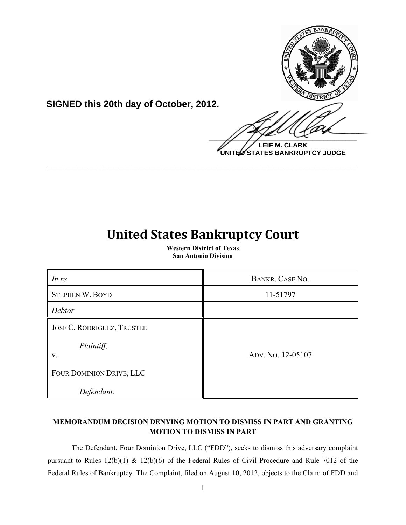

**SIGNED this 20th day of October, 2012.**

**LEIF M. CLARK UNITED STATES BANKRUPTCY JUDGE**

# **United States Bankruptcy Court**

**\_\_\_\_\_\_\_\_\_\_\_\_\_\_\_\_\_\_\_\_\_\_\_\_\_\_\_\_\_\_\_\_\_\_\_\_\_\_\_\_\_\_\_\_\_\_\_\_\_\_\_\_\_\_\_\_\_\_\_\_**

**Western District of Texas San Antonio Division**

| In re                      | <b>BANKR. CASE NO.</b> |
|----------------------------|------------------------|
| STEPHEN W. BOYD            | 11-51797               |
| Debtor                     |                        |
| JOSE C. RODRIGUEZ, TRUSTEE |                        |
| Plaintiff,<br>V.           | ADV. NO. 12-05107      |
| FOUR DOMINION DRIVE, LLC   |                        |
| Defendant.                 |                        |

# **MEMORANDUM DECISION DENYING MOTION TO DISMISS IN PART AND GRANTING MOTION TO DISMISS IN PART**

The Defendant, Four Dominion Drive, LLC ("FDD"), seeks to dismiss this adversary complaint pursuant to Rules 12(b)(1) & 12(b)(6) of the Federal Rules of Civil Procedure and Rule 7012 of the Federal Rules of Bankruptcy. The Complaint, filed on August 10, 2012, objects to the Claim of FDD and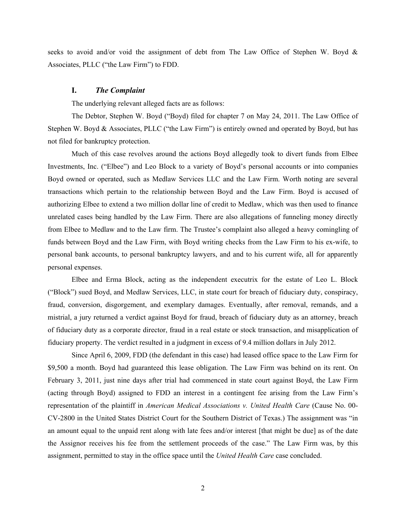seeks to avoid and/or void the assignment of debt from The Law Office of Stephen W. Boyd & Associates, PLLC ("the Law Firm") to FDD.

## **I.** *The Complaint*

The underlying relevant alleged facts are as follows:

The Debtor, Stephen W. Boyd ("Boyd) filed for chapter 7 on May 24, 2011. The Law Office of Stephen W. Boyd & Associates, PLLC ("the Law Firm") is entirely owned and operated by Boyd, but has not filed for bankruptcy protection.

Much of this case revolves around the actions Boyd allegedly took to divert funds from Elbee Investments, Inc. ("Elbee") and Leo Block to a variety of Boyd's personal accounts or into companies Boyd owned or operated, such as Medlaw Services LLC and the Law Firm. Worth noting are several transactions which pertain to the relationship between Boyd and the Law Firm. Boyd is accused of authorizing Elbee to extend a two million dollar line of credit to Medlaw, which was then used to finance unrelated cases being handled by the Law Firm. There are also allegations of funneling money directly from Elbee to Medlaw and to the Law firm. The Trustee's complaint also alleged a heavy comingling of funds between Boyd and the Law Firm, with Boyd writing checks from the Law Firm to his ex-wife, to personal bank accounts, to personal bankruptcy lawyers, and and to his current wife, all for apparently personal expenses.

Elbee and Erma Block, acting as the independent executrix for the estate of Leo L. Block ("Block") sued Boyd, and Medlaw Services, LLC, in state court for breach of fiduciary duty, conspiracy, fraud, conversion, disgorgement, and exemplary damages. Eventually, after removal, remands, and a mistrial, a jury returned a verdict against Boyd for fraud, breach of fiduciary duty as an attorney, breach of fiduciary duty as a corporate director, fraud in a real estate or stock transaction, and misapplication of fiduciary property. The verdict resulted in a judgment in excess of 9.4 million dollars in July 2012.

Since April 6, 2009, FDD (the defendant in this case) had leased office space to the Law Firm for \$9,500 a month. Boyd had guaranteed this lease obligation. The Law Firm was behind on its rent. On February 3, 2011, just nine days after trial had commenced in state court against Boyd, the Law Firm (acting through Boyd) assigned to FDD an interest in a contingent fee arising from the Law Firm's representation of the plaintiff in *American Medical Associations v. United Health Care* (Cause No. 00- CV-2800 in the United States District Court for the Southern District of Texas.) The assignment was "in an amount equal to the unpaid rent along with late fees and/or interest [that might be due] as of the date the Assignor receives his fee from the settlement proceeds of the case." The Law Firm was, by this assignment, permitted to stay in the office space until the *United Health Care* case concluded.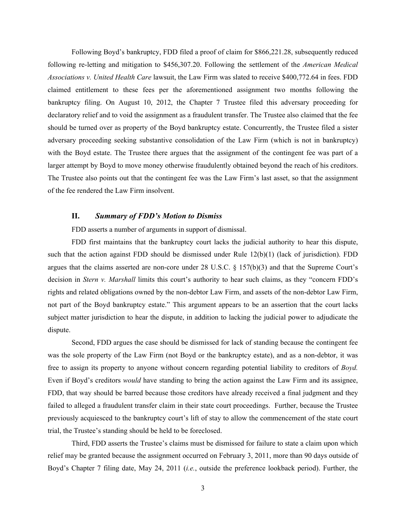Following Boyd's bankruptcy, FDD filed a proof of claim for \$866,221.28, subsequently reduced following re-letting and mitigation to \$456,307.20. Following the settlement of the *American Medical Associations v. United Health Care* lawsuit, the Law Firm was slated to receive \$400,772.64 in fees. FDD claimed entitlement to these fees per the aforementioned assignment two months following the bankruptcy filing. On August 10, 2012, the Chapter 7 Trustee filed this adversary proceeding for declaratory relief and to void the assignment as a fraudulent transfer. The Trustee also claimed that the fee should be turned over as property of the Boyd bankruptcy estate. Concurrently, the Trustee filed a sister adversary proceeding seeking substantive consolidation of the Law Firm (which is not in bankruptcy) with the Boyd estate. The Trustee there argues that the assignment of the contingent fee was part of a larger attempt by Boyd to move money otherwise fraudulently obtained beyond the reach of his creditors. The Trustee also points out that the contingent fee was the Law Firm's last asset, so that the assignment of the fee rendered the Law Firm insolvent.

# **II.** *Summary of FDD's Motion to Dismiss*

FDD asserts a number of arguments in support of dismissal.

FDD first maintains that the bankruptcy court lacks the judicial authority to hear this dispute, such that the action against FDD should be dismissed under Rule 12(b)(1) (lack of jurisdiction). FDD argues that the claims asserted are non-core under 28 U.S.C. § 157(b)(3) and that the Supreme Court's decision in *Stern v. Marshall* limits this court's authority to hear such claims, as they "concern FDD's rights and related obligations owned by the non-debtor Law Firm, and assets of the non-debtor Law Firm, not part of the Boyd bankruptcy estate." This argument appears to be an assertion that the court lacks subject matter jurisdiction to hear the dispute, in addition to lacking the judicial power to adjudicate the dispute.

Second, FDD argues the case should be dismissed for lack of standing because the contingent fee was the sole property of the Law Firm (not Boyd or the bankruptcy estate), and as a non-debtor, it was free to assign its property to anyone without concern regarding potential liability to creditors of *Boyd.* Even if Boyd's creditors *would* have standing to bring the action against the Law Firm and its assignee, FDD, that way should be barred because those creditors have already received a final judgment and they failed to alleged a fraudulent transfer claim in their state court proceedings. Further, because the Trustee previously acquiesced to the bankruptcy court's lift of stay to allow the commencement of the state court trial, the Trustee's standing should be held to be foreclosed.

Third, FDD asserts the Trustee's claims must be dismissed for failure to state a claim upon which relief may be granted because the assignment occurred on February 3, 2011, more than 90 days outside of Boyd's Chapter 7 filing date, May 24, 2011 (*i.e.*, outside the preference lookback period). Further, the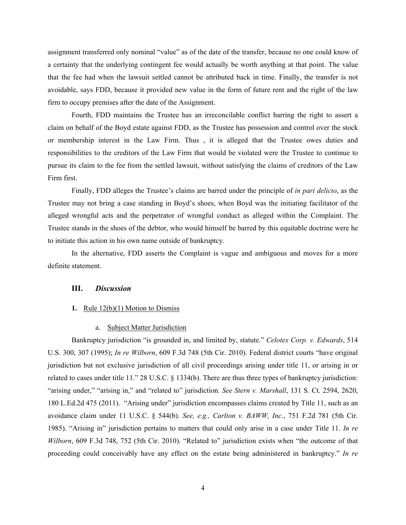assignment transferred only nominal "value" as of the date of the transfer, because no one could know of a certainty that the underlying contingent fee would actually be worth anything at that point. The value that the fee had when the lawsuit settled cannot be attributed back in time. Finally, the transfer is not avoidable, says FDD, because it provided new value in the form of future rent and the right of the law firm to occupy premises after the date of the Assignment.

Fourth, FDD maintains the Trustee has an irreconcilable conflict barring the right to assert a claim on behalf of the Boyd estate against FDD, as the Trustee has possession and control over the stock or membership interest in the Law Firm. Thus , it is alleged that the Trustee owes duties and responsibilities to the creditors of the Law Firm that would be violated were the Trustee to continue to pursue its claim to the fee from the settled lawsuit, without satisfying the claims of creditors of the Law Firm first.

Finally, FDD alleges the Trustee's claims are barred under the principle of *in pari delicto*, as the Trustee may not bring a case standing in Boyd's shoes, when Boyd was the initiating facilitator of the alleged wrongful acts and the perpetrator of wrongful conduct as alleged within the Complaint. The Trustee stands in the shoes of the debtor, who would himself be barred by this equitable doctrine were he to initiate this action in his own name outside of bankruptcy.

In the alternative, FDD asserts the Complaint is vague and ambiguous and moves for a more definite statement.

# **III.** *Discussion*

#### **1.** Rule 12(b)(1) Motion to Dismiss

#### a. Subject Matter Jurisdiction

Bankruptcy jurisdiction "is grounded in, and limited by, statute." *Celotex Corp. v. Edwards*, 514 U.S. 300, 307 (1995); *In re Wilborn*, 609 F.3d 748 (5th Cir. 2010). Federal district courts "have original jurisdiction but not exclusive jurisdiction of all civil proceedings arising under title 11, or arising in or related to cases under title 11." 28 U.S.C. § 1334(b). There are thus three types of bankruptcy jurisdiction: "arising under," "arising in," and "related to" jurisdiction*. See Stern v. Marshall*, 131 S. Ct. 2594, 2620, 180 L.Ed.2d 475 (2011). "Arising under" jurisdiction encompasses claims created by Title 11, such as an avoidance claim under 11 U.S.C. § 544(b). *See, e.g., Carlton v. BAWW, Inc.*, 751 F.2d 781 (5th Cir. 1985). "Arising in" jurisdiction pertains to matters that could only arise in a case under Title 11. *In re Wilborn*, 609 F.3d 748, 752 (5th Cir. 2010). "Related to" jurisdiction exists when "the outcome of that proceeding could conceivably have any effect on the estate being administered in bankruptcy." *In re*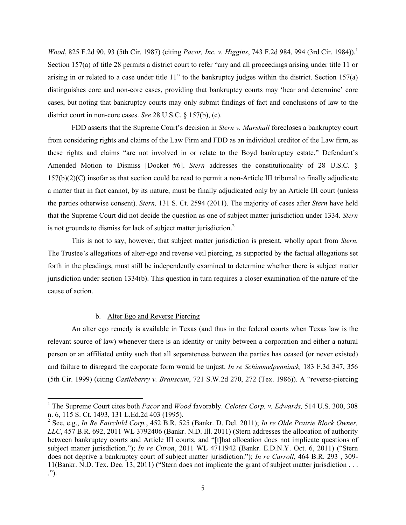*Wood*, 825 F.2d 90, 93 (5th Cir. 1987) (citing *Pacor, Inc. v. Higgins*, 743 F.2d 984, 994 (3rd Cir. 1984)). 1 Section 157(a) of title 28 permits a district court to refer "any and all proceedings arising under title 11 or arising in or related to a case under title 11" to the bankruptcy judges within the district. Section 157(a) distinguishes core and non-core cases, providing that bankruptcy courts may 'hear and determine' core cases, but noting that bankruptcy courts may only submit findings of fact and conclusions of law to the district court in non-core cases. *See* 28 U.S.C. § 157(b), (c).

FDD asserts that the Supreme Court's decision in *Stern v. Marshall* forecloses a bankruptcy court from considering rights and claims of the Law Firm and FDD as an individual creditor of the Law firm, as these rights and claims "are not involved in or relate to the Boyd bankruptcy estate." Defendant's Amended Motion to Dismiss [Docket #6]. *Stern* addresses the constitutionality of 28 U.S.C. § 157(b)(2)(C) insofar as that section could be read to permit a non-Article III tribunal to finally adjudicate a matter that in fact cannot, by its nature, must be finally adjudicated only by an Article III court (unless the parties otherwise consent). *Stern,* 131 S. Ct. 2594 (2011). The majority of cases after *Stern* have held that the Supreme Court did not decide the question as one of subject matter jurisdiction under 1334. *Stern*  is not grounds to dismiss for lack of subject matter jurisdiction.<sup>2</sup>

This is not to say, however, that subject matter jurisdiction is present, wholly apart from *Stern.* The Trustee's allegations of alter-ego and reverse veil piercing, as supported by the factual allegations set forth in the pleadings, must still be independently examined to determine whether there is subject matter jurisdiction under section 1334(b). This question in turn requires a closer examination of the nature of the cause of action.

# b. Alter Ego and Reverse Piercing

!!!!!!!!!!!!!!!!!!!!!!!!!!!!!!!!!!!!!!!!!!!!!!!!!!!!!!!!!!!

An alter ego remedy is available in Texas (and thus in the federal courts when Texas law is the relevant source of law) whenever there is an identity or unity between a corporation and either a natural person or an affiliated entity such that all separateness between the parties has ceased (or never existed) and failure to disregard the corporate form would be unjust. *In re Schimmelpenninck,* 183 F.3d 347, 356 (5th Cir. 1999) (citing *Castleberry v. Branscum*, 721 S.W.2d 270, 272 (Tex. 1986)). A "reverse-piercing

<sup>1</sup> The Supreme Court cites both *Pacor* and *Wood* favorably. *Celotex Corp. v. Edwards,* 514 U.S. 300, 308 n. 6, 115 S. Ct. 1493, 131 L.Ed.2d 403 (1995). <sup>2</sup>

See, e.g., *In Re Fairchild Corp.*, 452 B.R. 525 (Bankr. D. Del. 2011); *In re Olde Prairie Block Owner, LLC*, 457 B.R. 692, 2011 WL 3792406 (Bankr. N.D. Ill. 2011) (Stern addresses the allocation of authority between bankruptcy courts and Article III courts, and "[t]hat allocation does not implicate questions of subject matter jurisdiction."); *In re Citron*, 2011 WL 4711942 (Bankr. E.D.N.Y. Oct. 6, 2011) ("Stern does not deprive a bankruptcy court of subject matter jurisdiction."); *In re Carroll*, 464 B.R. 293 , 309- 11(Bankr. N.D. Tex. Dec. 13, 2011) ("Stern does not implicate the grant of subject matter jurisdiction . . . .").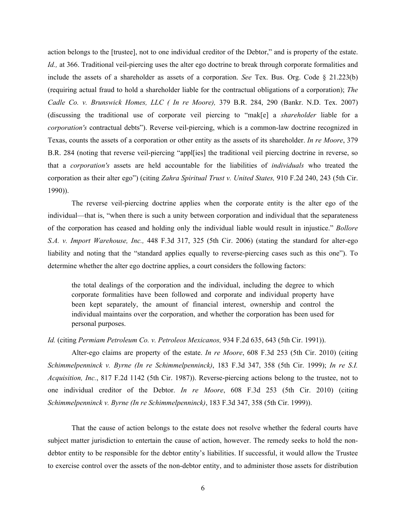action belongs to the [trustee], not to one individual creditor of the Debtor," and is property of the estate. *Id.*, at 366. Traditional veil-piercing uses the alter ego doctrine to break through corporate formalities and include the assets of a shareholder as assets of a corporation. *See* Tex. Bus. Org. Code § 21.223(b) (requiring actual fraud to hold a shareholder liable for the contractual obligations of a corporation); *The Cadle Co. v. Brunswick Homes, LLC ( In re Moore),* 379 B.R. 284, 290 (Bankr. N.D. Tex. 2007) (discussing the traditional use of corporate veil piercing to "mak[e] a *shareholder* liable for a *corporation's* contractual debts"). Reverse veil-piercing, which is a common-law doctrine recognized in Texas, counts the assets of a corporation or other entity as the assets of its shareholder. *In re Moore*, 379 B.R. 284 (noting that reverse veil-piercing "appl[ies] the traditional veil piercing doctrine in reverse, so that a *corporation's* assets are held accountable for the liabilities of *individuals* who treated the corporation as their alter ego") (citing *Zahra Spiritual Trust v. United States,* 910 F.2d 240, 243 (5th Cir. 1990)).

The reverse veil-piercing doctrine applies when the corporate entity is the alter ego of the individual—that is, "when there is such a unity between corporation and individual that the separateness of the corporation has ceased and holding only the individual liable would result in injustice." *Bollore S.A. v. Import Warehouse, Inc.,* 448 F.3d 317, 325 (5th Cir. 2006) (stating the standard for alter-ego liability and noting that the "standard applies equally to reverse-piercing cases such as this one"). To determine whether the alter ego doctrine applies, a court considers the following factors:

the total dealings of the corporation and the individual, including the degree to which corporate formalities have been followed and corporate and individual property have been kept separately, the amount of financial interest, ownership and control the individual maintains over the corporation, and whether the corporation has been used for personal purposes.

*Id.* (citing *Permiam Petroleum Co. v. Petroleos Mexicanos,* 934 F.2d 635, 643 (5th Cir. 1991)).

Alter-ego claims are property of the estate. *In re Moore*, 608 F.3d 253 (5th Cir. 2010) (citing *Schimmelpenninck v. Byrne (In re Schimmelpenninck)*, 183 F.3d 347, 358 (5th Cir. 1999); *In re S.I. Acquisition, Inc.*, 817 F.2d 1142 (5th Cir. 1987)). Reverse-piercing actions belong to the trustee, not to one individual creditor of the Debtor. *In re Moore*, 608 F.3d 253 (5th Cir. 2010) (citing *Schimmelpenninck v. Byrne (In re Schimmelpenninck)*, 183 F.3d 347, 358 (5th Cir. 1999)).

That the cause of action belongs to the estate does not resolve whether the federal courts have subject matter jurisdiction to entertain the cause of action, however. The remedy seeks to hold the nondebtor entity to be responsible for the debtor entity's liabilities. If successful, it would allow the Trustee to exercise control over the assets of the non-debtor entity, and to administer those assets for distribution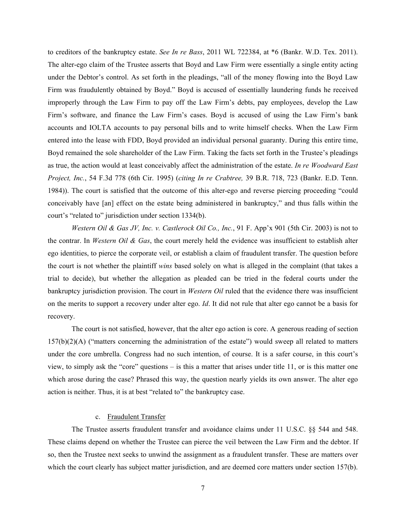to creditors of the bankruptcy estate. *See In re Bass*, 2011 WL 722384, at \*6 (Bankr. W.D. Tex. 2011). The alter-ego claim of the Trustee asserts that Boyd and Law Firm were essentially a single entity acting under the Debtor's control. As set forth in the pleadings, "all of the money flowing into the Boyd Law Firm was fraudulently obtained by Boyd." Boyd is accused of essentially laundering funds he received improperly through the Law Firm to pay off the Law Firm's debts, pay employees, develop the Law Firm's software, and finance the Law Firm's cases. Boyd is accused of using the Law Firm's bank accounts and IOLTA accounts to pay personal bills and to write himself checks. When the Law Firm entered into the lease with FDD, Boyd provided an individual personal guaranty. During this entire time, Boyd remained the sole shareholder of the Law Firm. Taking the facts set forth in the Trustee's pleadings as true, the action would at least conceivably affect the administration of the estate. *In re Woodward East Project, Inc.*, 54 F.3d 778 (6th Cir. 1995) (*citing In re Crabtree,* 39 B.R. 718, 723 (Bankr. E.D. Tenn. 1984)). The court is satisfied that the outcome of this alter-ego and reverse piercing proceeding "could conceivably have [an] effect on the estate being administered in bankruptcy," and thus falls within the court's "related to" jurisdiction under section 1334(b).

*Western Oil & Gas JV, Inc. v. Castlerock Oil Co., Inc.*, 91 F. App'x 901 (5th Cir. 2003) is not to the contrar. In *Western Oil & Gas*, the court merely held the evidence was insufficient to establish alter ego identities, to pierce the corporate veil, or establish a claim of fraudulent transfer. The question before the court is not whether the plaintiff *wins* based solely on what is alleged in the complaint (that takes a trial to decide), but whether the allegation as pleaded can be tried in the federal courts under the bankruptcy jurisdiction provision. The court in *Western Oil* ruled that the evidence there was insufficient on the merits to support a recovery under alter ego. *Id*. It did not rule that alter ego cannot be a basis for recovery.

The court is not satisfied, however, that the alter ego action is core. A generous reading of section  $157(b)(2)(A)$  ("matters concerning the administration of the estate") would sweep all related to matters under the core umbrella. Congress had no such intention, of course. It is a safer course, in this court's view, to simply ask the "core" questions – is this a matter that arises under title 11, or is this matter one which arose during the case? Phrased this way, the question nearly yields its own answer. The alter ego action is neither. Thus, it is at best "related to" the bankruptcy case.

#### c. Fraudulent Transfer

The Trustee asserts fraudulent transfer and avoidance claims under 11 U.S.C. §§ 544 and 548. These claims depend on whether the Trustee can pierce the veil between the Law Firm and the debtor. If so, then the Trustee next seeks to unwind the assignment as a fraudulent transfer. These are matters over which the court clearly has subject matter jurisdiction, and are deemed core matters under section 157(b).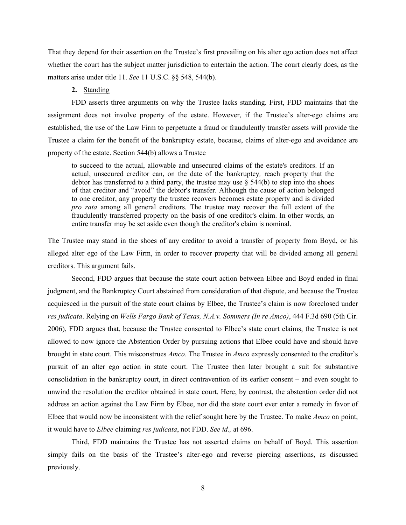That they depend for their assertion on the Trustee's first prevailing on his alter ego action does not affect whether the court has the subject matter jurisdiction to entertain the action. The court clearly does, as the matters arise under title 11. *See* 11 U.S.C. §§ 548, 544(b).

#### **2.** Standing

FDD asserts three arguments on why the Trustee lacks standing. First, FDD maintains that the assignment does not involve property of the estate. However, if the Trustee's alter-ego claims are established, the use of the Law Firm to perpetuate a fraud or fraudulently transfer assets will provide the Trustee a claim for the benefit of the bankruptcy estate, because, claims of alter-ego and avoidance are property of the estate. Section 544(b) allows a Trustee

to succeed to the actual, allowable and unsecured claims of the estate's creditors. If an actual, unsecured creditor can, on the date of the bankruptcy*,* reach property that the debtor has transferred to a third party, the trustee may use  $\S$  544(b) to step into the shoes of that creditor and "avoid" the debtor's transfer. Although the cause of action belonged to one creditor, any property the trustee recovers becomes estate property and is divided *pro rata* among all general creditors. The trustee may recover the full extent of the fraudulently transferred property on the basis of one creditor's claim. In other words, an entire transfer may be set aside even though the creditor's claim is nominal.

The Trustee may stand in the shoes of any creditor to avoid a transfer of property from Boyd, or his alleged alter ego of the Law Firm, in order to recover property that will be divided among all general creditors. This argument fails.

Second, FDD argues that because the state court action between Elbee and Boyd ended in final judgment, and the Bankruptcy Court abstained from consideration of that dispute, and because the Trustee acquiesced in the pursuit of the state court claims by Elbee, the Trustee's claim is now foreclosed under *res judicata*. Relying on *Wells Fargo Bank of Texas, N.A.v. Sommers (In re Amco)*, 444 F.3d 690 (5th Cir. 2006), FDD argues that, because the Trustee consented to Elbee's state court claims, the Trustee is not allowed to now ignore the Abstention Order by pursuing actions that Elbee could have and should have brought in state court. This misconstrues *Amco*. The Trustee in *Amco* expressly consented to the creditor's pursuit of an alter ego action in state court. The Trustee then later brought a suit for substantive consolidation in the bankruptcy court, in direct contravention of its earlier consent – and even sought to unwind the resolution the creditor obtained in state court. Here, by contrast, the abstention order did not address an action against the Law Firm by Elbee, nor did the state court ever enter a remedy in favor of Elbee that would now be inconsistent with the relief sought here by the Trustee. To make *Amco* on point, it would have to *Elbee* claiming *res judicata*, not FDD. *See id.,* at 696.

Third, FDD maintains the Trustee has not asserted claims on behalf of Boyd. This assertion simply fails on the basis of the Trustee's alter-ego and reverse piercing assertions, as discussed previously.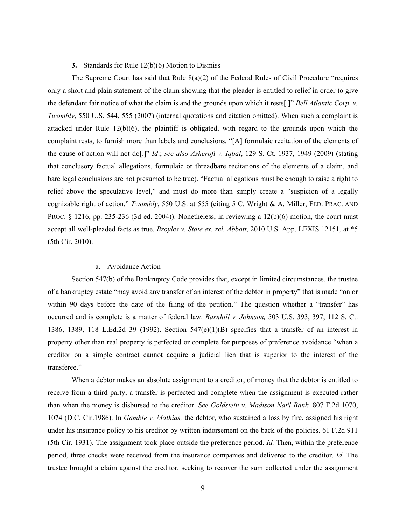#### **3.** Standards for Rule 12(b)(6) Motion to Dismiss

The Supreme Court has said that Rule 8(a)(2) of the Federal Rules of Civil Procedure "requires only a short and plain statement of the claim showing that the pleader is entitled to relief in order to give the defendant fair notice of what the claim is and the grounds upon which it rests[.]" *Bell Atlantic Corp. v. Twombly*, 550 U.S. 544, 555 (2007) (internal quotations and citation omitted). When such a complaint is attacked under Rule 12(b)(6), the plaintiff is obligated, with regard to the grounds upon which the complaint rests, to furnish more than labels and conclusions. "[A] formulaic recitation of the elements of the cause of action will not do[.]" *Id*.; *see also Ashcroft v. Iqbal*, 129 S. Ct. 1937, 1949 (2009) (stating that conclusory factual allegations, formulaic or threadbare recitations of the elements of a claim, and bare legal conclusions are not presumed to be true). "Factual allegations must be enough to raise a right to relief above the speculative level," and must do more than simply create a "suspicion of a legally cognizable right of action." *Twombly*, 550 U.S. at 555 (citing 5 C. Wright & A. Miller, FED. PRAC. AND PROC. § 1216, pp. 235-236 (3d ed. 2004)). Nonetheless, in reviewing a 12(b)(6) motion, the court must accept all well-pleaded facts as true. *Broyles v. State ex. rel. Abbott*, 2010 U.S. App. LEXIS 12151, at \*5 (5th Cir. 2010).

# a. Avoidance Action

Section 547(b) of the Bankruptcy Code provides that, except in limited circumstances, the trustee of a bankruptcy estate "may avoid any transfer of an interest of the debtor in property" that is made "on or within 90 days before the date of the filing of the petition." The question whether a "transfer" has occurred and is complete is a matter of federal law. *Barnhill v. Johnson,* 503 U.S. 393, 397, 112 S. Ct. 1386, 1389, 118 L.Ed.2d 39 (1992). Section  $547(e)(1)(B)$  specifies that a transfer of an interest in property other than real property is perfected or complete for purposes of preference avoidance "when a creditor on a simple contract cannot acquire a judicial lien that is superior to the interest of the transferee."

When a debtor makes an absolute assignment to a creditor, of money that the debtor is entitled to receive from a third party, a transfer is perfected and complete when the assignment is executed rather than when the money is disbursed to the creditor. *See Goldstein v. Madison Nat'l Bank,* 807 F.2d 1070, 1074 (D.C. Cir.1986). In *Gamble v. Mathias,* the debtor, who sustained a loss by fire, assigned his right under his insurance policy to his creditor by written indorsement on the back of the policies. 61 F.2d 911 (5th Cir. 1931)*.* The assignment took place outside the preference period. *Id.* Then, within the preference period, three checks were received from the insurance companies and delivered to the creditor. *Id.* The trustee brought a claim against the creditor, seeking to recover the sum collected under the assignment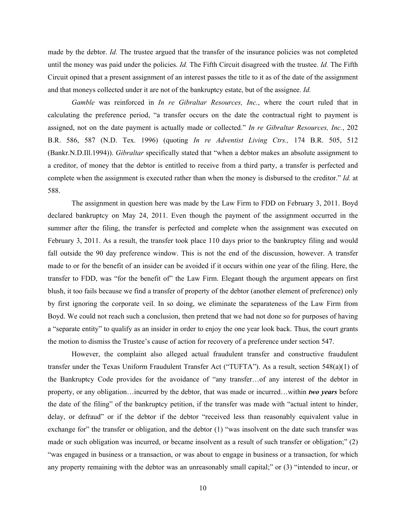made by the debtor. *Id.* The trustee argued that the transfer of the insurance policies was not completed until the money was paid under the policies. *Id.* The Fifth Circuit disagreed with the trustee. *Id.* The Fifth Circuit opined that a present assignment of an interest passes the title to it as of the date of the assignment and that moneys collected under it are not of the bankruptcy estate, but of the assignee. *Id.*

*Gamble* was reinforced in *In re Gibraltar Resources, Inc.*, where the court ruled that in calculating the preference period, "a transfer occurs on the date the contractual right to payment is assigned, not on the date payment is actually made or collected." *In re Gibraltar Resources, Inc.*, 202 B.R. 586, 587 (N.D. Tex. 1996) (quoting *In re Adventist Living Ctrs.,* 174 B.R. 505, 512 (Bankr.N.D.Ill.1994)). *Gibraltar* specifically stated that "when a debtor makes an absolute assignment to a creditor, of money that the debtor is entitled to receive from a third party, a transfer is perfected and complete when the assignment is executed rather than when the money is disbursed to the creditor." *Id.* at 588.

The assignment in question here was made by the Law Firm to FDD on February 3, 2011. Boyd declared bankruptcy on May 24, 2011. Even though the payment of the assignment occurred in the summer after the filing, the transfer is perfected and complete when the assignment was executed on February 3, 2011. As a result, the transfer took place 110 days prior to the bankruptcy filing and would fall outside the 90 day preference window. This is not the end of the discussion, however. A transfer made to or for the benefit of an insider can be avoided if it occurs within one year of the filing. Here, the transfer to FDD, was "for the benefit of" the Law Firm. Elegant though the argument appears on first blush, it too fails because we find a transfer of property of the debtor (another element of preference) only by first ignoring the corporate veil. In so doing, we eliminate the separateness of the Law Firm from Boyd. We could not reach such a conclusion, then pretend that we had not done so for purposes of having a "separate entity" to qualify as an insider in order to enjoy the one year look back. Thus, the court grants the motion to dismiss the Trustee's cause of action for recovery of a preference under section 547.

However, the complaint also alleged actual fraudulent transfer and constructive fraudulent transfer under the Texas Uniform Fraudulent Transfer Act ("TUFTA"). As a result, section 548(a)(1) of the Bankruptcy Code provides for the avoidance of "any transfer…of any interest of the debtor in property, or any obligation…incurred by the debtor, that was made or incurred…within *two years* before the date of the filing" of the bankruptcy petition, if the transfer was made with "actual intent to hinder, delay, or defraud" or if the debtor if the debtor "received less than reasonably equivalent value in exchange for" the transfer or obligation, and the debtor (1) "was insolvent on the date such transfer was made or such obligation was incurred, or became insolvent as a result of such transfer or obligation;" (2) "was engaged in business or a transaction, or was about to engage in business or a transaction, for which any property remaining with the debtor was an unreasonably small capital;" or (3) "intended to incur, or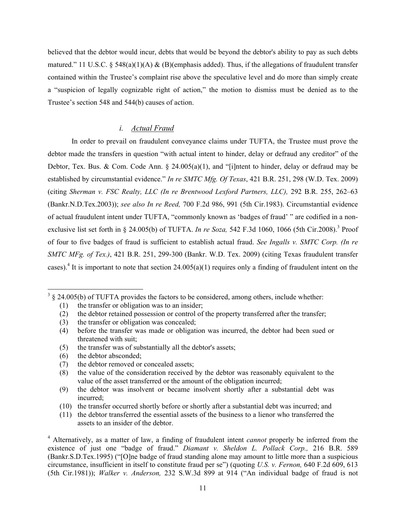believed that the debtor would incur, debts that would be beyond the debtor's ability to pay as such debts matured." 11 U.S.C. § 548(a)(1)(A) & (B)(emphasis added). Thus, if the allegations of fraudulent transfer contained within the Trustee's complaint rise above the speculative level and do more than simply create a "suspicion of legally cognizable right of action," the motion to dismiss must be denied as to the Trustee's section 548 and 544(b) causes of action.

# *i. Actual Fraud*

In order to prevail on fraudulent conveyance claims under TUFTA, the Trustee must prove the debtor made the transfers in question "with actual intent to hinder, delay or defraud any creditor" of the Debtor, Tex. Bus. & Com. Code Ann.  $\S$  24.005(a)(1), and "[i]ntent to hinder, delay or defraud may be established by circumstantial evidence." *In re SMTC Mfg. Of Texas*, 421 B.R. 251, 298 (W.D. Tex. 2009) (citing *Sherman v. FSC Realty, LLC (In re Brentwood Lexford Partners, LLC),* 292 B.R. 255, 262–63 (Bankr.N.D.Tex.2003)); *see also In re Reed,* 700 F.2d 986, 991 (5th Cir.1983). Circumstantial evidence of actual fraudulent intent under TUFTA, "commonly known as 'badges of fraud' " are codified in a nonexclusive list set forth in § 24.005(b) of TUFTA. *In re Soza,* 542 F.3d 1060, 1066 (5th Cir.2008). <sup>3</sup> Proof of four to five badges of fraud is sufficient to establish actual fraud. *See Ingalls v. SMTC Corp. (In re SMTC MFg. of Tex.)*, 421 B.R. 251, 299-300 (Bankr. W.D. Tex. 2009) (citing Texas fraudulent transfer cases).<sup>4</sup> It is important to note that section 24.005(a)(1) requires only a finding of fraudulent intent on the

- (2) the debtor retained possession or control of the property transferred after the transfer;
- (3) the transfer or obligation was concealed;
- (4) before the transfer was made or obligation was incurred, the debtor had been sued or threatened with suit;
- (5) the transfer was of substantially all the debtor's assets;
- (6) the debtor absconded;

!!!!!!!!!!!!!!!!!!!!!!!!!!!!!!!!!!!!!!!!!!!!!!!!!!!!!!!!!!!

- (9) the debtor was insolvent or became insolvent shortly after a substantial debt was incurred;
- (10) the transfer occurred shortly before or shortly after a substantial debt was incurred; and
- (11) the debtor transferred the essential assets of the business to a lienor who transferred the assets to an insider of the debtor.

 $3 \text{ }\frac{3}{2}$  24.005(b) of TUFTA provides the factors to be considered, among others, include whether:

<sup>(1)</sup> the transfer or obligation was to an insider;

<sup>(7)</sup> the debtor removed or concealed assets;

<sup>(8)</sup> the value of the consideration received by the debtor was reasonably equivalent to the value of the asset transferred or the amount of the obligation incurred;

<sup>4</sup> Alternatively, as a matter of law, a finding of fraudulent intent *cannot* properly be inferred from the existence of just one "badge of fraud." *Diamant v. Sheldon L. Pollack Corp.,* 216 B.R. 589 (Bankr.S.D.Tex.1995) ("[O]ne badge of fraud standing alone may amount to little more than a suspicious circumstance, insufficient in itself to constitute fraud per se") (quoting *U.S. v. Fernon,* 640 F.2d 609, 613 (5th Cir.1981)); *Walker v. Anderson,* 232 S.W.3d 899 at 914 ("An individual badge of fraud is not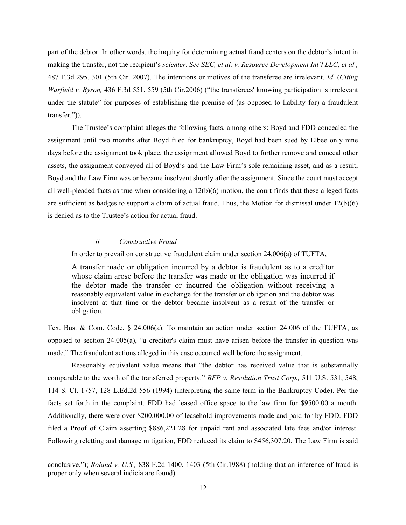part of the debtor. In other words, the inquiry for determining actual fraud centers on the debtor's intent in making the transfer, not the recipient's *scienter*. *See SEC, et al. v. Resource Development Int'l LLC, et al.,*  487 F.3d 295, 301 (5th Cir. 2007). The intentions or motives of the transferee are irrelevant. *Id*. (*Citing Warfield v. Byron,* 436 F.3d 551, 559 (5th Cir.2006) ("the transferees' knowing participation is irrelevant under the statute" for purposes of establishing the premise of (as opposed to liability for) a fraudulent transfer.")).

The Trustee's complaint alleges the following facts, among others: Boyd and FDD concealed the assignment until two months after Boyd filed for bankruptcy, Boyd had been sued by Elbee only nine days before the assignment took place, the assignment allowed Boyd to further remove and conceal other assets, the assignment conveyed all of Boyd's and the Law Firm's sole remaining asset, and as a result, Boyd and the Law Firm was or became insolvent shortly after the assignment. Since the court must accept all well-pleaded facts as true when considering a  $12(b)(6)$  motion, the court finds that these alleged facts are sufficient as badges to support a claim of actual fraud. Thus, the Motion for dismissal under  $12(b)(6)$ is denied as to the Trustee's action for actual fraud.

# *ii. Constructive Fraud*

In order to prevail on constructive fraudulent claim under section 24.006(a) of TUFTA,

A transfer made or obligation incurred by a debtor is fraudulent as to a creditor whose claim arose before the transfer was made or the obligation was incurred if the debtor made the transfer or incurred the obligation without receiving a reasonably equivalent value in exchange for the transfer or obligation and the debtor was insolvent at that time or the debtor became insolvent as a result of the transfer or obligation.

Tex. Bus. & Com. Code, § 24.006(a). To maintain an action under section 24.006 of the TUFTA, as opposed to section 24.005(a), "a creditor's claim must have arisen before the transfer in question was made." The fraudulent actions alleged in this case occurred well before the assignment.

Reasonably equivalent value means that "the debtor has received value that is substantially comparable to the worth of the transferred property." *BFP v. Resolution Trust Corp.,* 511 U.S. 531, 548, 114 S. Ct. 1757, 128 L.Ed.2d 556 (1994) (interpreting the same term in the Bankruptcy Code). Per the facts set forth in the complaint, FDD had leased office space to the law firm for \$9500.00 a month. Additionally, there were over \$200,000.00 of leasehold improvements made and paid for by FDD. FDD filed a Proof of Claim asserting \$886,221.28 for unpaid rent and associated late fees and/or interest. Following reletting and damage mitigation, FDD reduced its claim to \$456,307.20. The Law Firm is said

<sup>!!!!!!!!!!!!!!!!!!!!!!!!!!!!!!!!!!!!!!!!!!!!!!!!!!!!!!!!!!!!!!!!!!!!!!!!!!!!!!!!!!!!!!!!!!!!!!!!!!!!!!!!!!!!!!!!!!!!!!!!!!!!!!!!!!!!!!!!!!!!!!!!!!!!!!!!!!!!!!!!!!!!!!!!!!!!!!!!!!!!!!!!!!!!!!!</sup> conclusive."); *Roland v. U.S.,* 838 F.2d 1400, 1403 (5th Cir.1988) (holding that an inference of fraud is proper only when several indicia are found).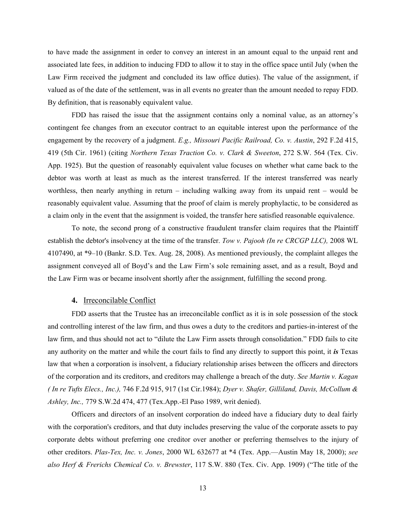to have made the assignment in order to convey an interest in an amount equal to the unpaid rent and associated late fees, in addition to inducing FDD to allow it to stay in the office space until July (when the Law Firm received the judgment and concluded its law office duties). The value of the assignment, if valued as of the date of the settlement, was in all events no greater than the amount needed to repay FDD. By definition, that is reasonably equivalent value.

FDD has raised the issue that the assignment contains only a nominal value, as an attorney's contingent fee changes from an executor contract to an equitable interest upon the performance of the engagement by the recovery of a judgment. *E.g., Missouri Pacific Railroad, Co. v. Austin*, 292 F.2d 415, 419 (5th Cir. 1961) (citing *Northern Texas Traction Co. v. Clark & Sweeton*, 272 S.W. 564 (Tex. Civ. App. 1925). But the question of reasonably equivalent value focuses on whether what came back to the debtor was worth at least as much as the interest transferred. If the interest transferred was nearly worthless, then nearly anything in return – including walking away from its unpaid rent – would be reasonably equivalent value. Assuming that the proof of claim is merely prophylactic, to be considered as a claim only in the event that the assignment is voided, the transfer here satisfied reasonable equivalence.

To note, the second prong of a constructive fraudulent transfer claim requires that the Plaintiff establish the debtor's insolvency at the time of the transfer. *Tow v. Pajooh (In re CRCGP LLC),* 2008 WL 4107490, at \*9–10 (Bankr. S.D. Tex. Aug. 28, 2008). As mentioned previously, the complaint alleges the assignment conveyed all of Boyd's and the Law Firm's sole remaining asset, and as a result, Boyd and the Law Firm was or became insolvent shortly after the assignment, fulfilling the second prong.

# **4.** Irreconcilable Conflict

FDD asserts that the Trustee has an irreconcilable conflict as it is in sole possession of the stock and controlling interest of the law firm, and thus owes a duty to the creditors and parties-in-interest of the law firm, and thus should not act to "dilute the Law Firm assets through consolidation." FDD fails to cite any authority on the matter and while the court fails to find any directly to support this point, it *is* Texas law that when a corporation is insolvent, a fiduciary relationship arises between the officers and directors of the corporation and its creditors, and creditors may challenge a breach of the duty. *See Martin v. Kagan ( In re Tufts Elecs., Inc.),* 746 F.2d 915, 917 (1st Cir.1984); *Dyer v. Shafer, Gilliland, Davis, McCollum & Ashley, Inc.,* 779 S.W.2d 474, 477 (Tex.App.-El Paso 1989, writ denied).

Officers and directors of an insolvent corporation do indeed have a fiduciary duty to deal fairly with the corporation's creditors, and that duty includes preserving the value of the corporate assets to pay corporate debts without preferring one creditor over another or preferring themselves to the injury of other creditors. *Plas-Tex, Inc. v. Jones*, 2000 WL 632677 at \*4 (Tex. App.—Austin May 18, 2000); *see also Herf & Frerichs Chemical Co. v. Brewster*, 117 S.W. 880 (Tex. Civ. App. 1909) ("The title of the